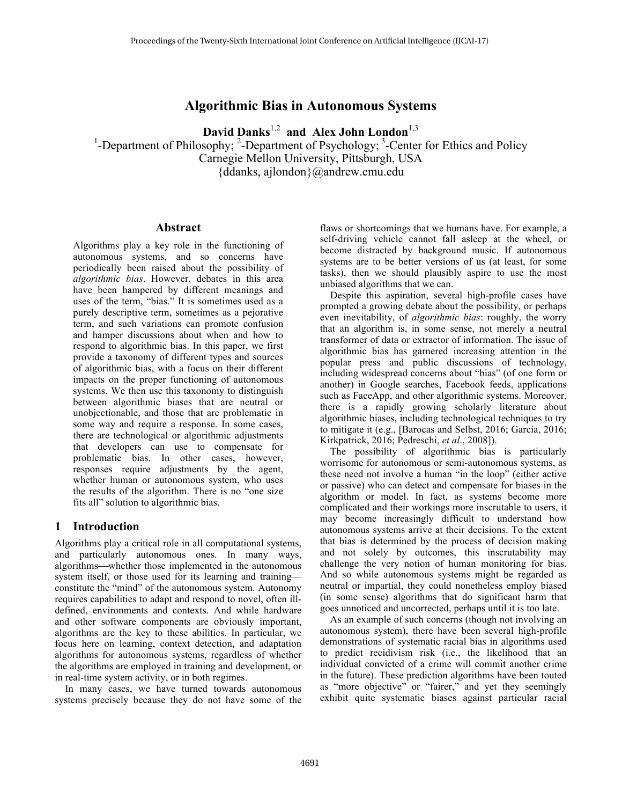## **Algorithmic Bias in Autonomous Systems**

David Danks<sup>1,2</sup> and Alex John London<sup>1,3</sup>

<sup>1</sup>-Department of Philosophy;  ${}^{2}$ -Department of Psychology;  ${}^{3}$ -Center for Ethics and Policy Carnegie Mellon University, Pittsburgh, USA {ddanks, ajlondon}@andrew.cmu.edu

#### **Abstract**

Algorithms play a key role in the functioning of autonomous systems, and so concerns have periodically been raised about the possibility of *algorithmic bias*. However, debates in this area have been hampered by different meanings and uses of the term, "bias." It is sometimes used as a purely descriptive term, sometimes as a pejorative term, and such variations can promote confusion and hamper discussions about when and how to respond to algorithmic bias. In this paper, we first provide a taxonomy of different types and sources of algorithmic bias, with a focus on their different impacts on the proper functioning of autonomous systems. We then use this taxonomy to distinguish between algorithmic biases that are neutral or unobjectionable, and those that are problematic in some way and require a response. In some cases, there are technological or algorithmic adjustments that developers can use to compensate for problematic bias. In other cases, however, responses require adjustments by the agent, whether human or autonomous system, who uses the results of the algorithm. There is no "one size fits all" solution to algorithmic bias.

#### **1 Introduction**

Algorithms play a critical role in all computational systems, and particularly autonomous ones. In many ways, algorithms—whether those implemented in the autonomous system itself, or those used for its learning and training constitute the "mind" of the autonomous system. Autonomy requires capabilities to adapt and respond to novel, often illdefined, environments and contexts. And while hardware and other software components are obviously important, algorithms are the key to these abilities. In particular, we focus here on learning, context detection, and adaptation algorithms for autonomous systems, regardless of whether the algorithms are employed in training and development, or in real-time system activity, or in both regimes.

In many cases, we have turned towards autonomous systems precisely because they do not have some of the

flaws or shortcomings that we humans have. For example, a self-driving vehicle cannot fall asleep at the wheel, or become distracted by background music. If autonomous systems are to be better versions of us (at least, for some tasks), then we should plausibly aspire to use the most unbiased algorithms that we can.

Despite this aspiration, several high-profile cases have prompted a growing debate about the possibility, or perhaps even inevitability, of *algorithmic bias*: roughly, the worry that an algorithm is, in some sense, not merely a neutral transformer of data or extractor of information. The issue of algorithmic bias has garnered increasing attention in the popular press and public discussions of technology, including widespread concerns about "bias" (of one form or another) in Google searches, Facebook feeds, applications such as FaceApp, and other algorithmic systems. Moreover, there is a rapidly growing scholarly literature about algorithmic biases, including technological techniques to try to mitigate it (e.g., [Barocas and Selbst, 2016; Garcia, 2016; Kirkpatrick, 2016; Pedreschi, *et al*., 2008]).

The possibility of algorithmic bias is particularly worrisome for autonomous or semi-autonomous systems, as these need not involve a human "in the loop" (either active or passive) who can detect and compensate for biases in the algorithm or model. In fact, as systems become more complicated and their workings more inscrutable to users, it may become increasingly difficult to understand how autonomous systems arrive at their decisions. To the extent that bias is determined by the process of decision making and not solely by outcomes, this inscrutability may challenge the very notion of human monitoring for bias. And so while autonomous systems might be regarded as neutral or impartial, they could nonetheless employ biased (in some sense) algorithms that do significant harm that goes unnoticed and uncorrected, perhaps until it is too late.

As an example of such concerns (though not involving an autonomous system), there have been several high-profile demonstrations of systematic racial bias in algorithms used to predict recidivism risk (i.e., the likelihood that an individual convicted of a crime will commit another crime in the future). These prediction algorithms have been touted as "more objective" or "fairer," and yet they seemingly exhibit quite systematic biases against particular racial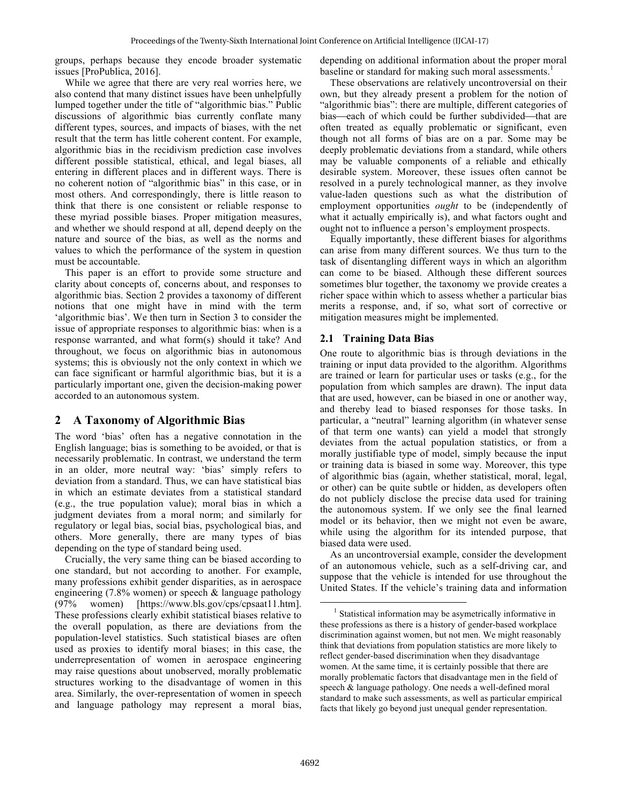groups, perhaps because they encode broader systematic issues [ProPublica, 2016].

While we agree that there are very real worries here, we also contend that many distinct issues have been unhelpfully lumped together under the title of "algorithmic bias." Public discussions of algorithmic bias currently conflate many different types, sources, and impacts of biases, with the net result that the term has little coherent content. For example, algorithmic bias in the recidivism prediction case involves different possible statistical, ethical, and legal biases, all entering in different places and in different ways. There is no coherent notion of "algorithmic bias" in this case, or in most others. And correspondingly, there is little reason to think that there is one consistent or reliable response to these myriad possible biases. Proper mitigation measures, and whether we should respond at all, depend deeply on the nature and source of the bias, as well as the norms and values to which the performance of the system in question must be accountable.

This paper is an effort to provide some structure and clarity about concepts of, concerns about, and responses to algorithmic bias. Section 2 provides a taxonomy of different notions that one might have in mind with the term 'algorithmic bias'. We then turn in Section 3 to consider the issue of appropriate responses to algorithmic bias: when is a response warranted, and what form(s) should it take? And throughout, we focus on algorithmic bias in autonomous systems; this is obviously not the only context in which we can face significant or harmful algorithmic bias, but it is a particularly important one, given the decision-making power accorded to an autonomous system.

# **2 A Taxonomy of Algorithmic Bias**

The word 'bias' often has a negative connotation in the English language; bias is something to be avoided, or that is necessarily problematic. In contrast, we understand the term in an older, more neutral way: 'bias' simply refers to deviation from a standard. Thus, we can have statistical bias in which an estimate deviates from a statistical standard (e.g., the true population value); moral bias in which a judgment deviates from a moral norm; and similarly for regulatory or legal bias, social bias, psychological bias, and others. More generally, there are many types of bias depending on the type of standard being used.

Crucially, the very same thing can be biased according to one standard, but not according to another. For example, many professions exhibit gender disparities, as in aerospace engineering (7.8% women) or speech & language pathology (97% women) [https://www.bls.gov/cps/cpsaat11.htm]. These professions clearly exhibit statistical biases relative to the overall population, as there are deviations from the population-level statistics. Such statistical biases are often used as proxies to identify moral biases; in this case, the underrepresentation of women in aerospace engineering may raise questions about unobserved, morally problematic structures working to the disadvantage of women in this area. Similarly, the over-representation of women in speech and language pathology may represent a moral bias,

depending on additional information about the proper moral baseline or standard for making such moral assessments.<sup>1</sup>

 These observations are relatively uncontroversial on their own, but they already present a problem for the notion of "algorithmic bias": there are multiple, different categories of bias—each of which could be further subdivided—that are often treated as equally problematic or significant, even though not all forms of bias are on a par. Some may be deeply problematic deviations from a standard, while others may be valuable components of a reliable and ethically desirable system. Moreover, these issues often cannot be resolved in a purely technological manner, as they involve value-laden questions such as what the distribution of employment opportunities *ought* to be (independently of what it actually empirically is), and what factors ought and ought not to influence a person's employment prospects.

Equally importantly, these different biases for algorithms can arise from many different sources. We thus turn to the task of disentangling different ways in which an algorithm can come to be biased. Although these different sources sometimes blur together, the taxonomy we provide creates a richer space within which to assess whether a particular bias merits a response, and, if so, what sort of corrective or mitigation measures might be implemented.

### **2.1 Training Data Bias**

One route to algorithmic bias is through deviations in the training or input data provided to the algorithm. Algorithms are trained or learn for particular uses or tasks (e.g., for the population from which samples are drawn). The input data that are used, however, can be biased in one or another way, and thereby lead to biased responses for those tasks. In particular, a "neutral" learning algorithm (in whatever sense of that term one wants) can yield a model that strongly deviates from the actual population statistics, or from a morally justifiable type of model, simply because the input or training data is biased in some way. Moreover, this type of algorithmic bias (again, whether statistical, moral, legal, or other) can be quite subtle or hidden, as developers often do not publicly disclose the precise data used for training the autonomous system. If we only see the final learned model or its behavior, then we might not even be aware, while using the algorithm for its intended purpose, that biased data were used.

As an uncontroversial example, consider the development of an autonomous vehicle, such as a self-driving car, and suppose that the vehicle is intended for use throughout the United States. If the vehicle's training data and information

<sup>&</sup>lt;sup>1</sup> Statistical information may be asymetrically informative in these professions as there is a history of gender-based workplace discrimination against women, but not men. We might reasonably think that deviations from population statistics are more likely to reflect gender-based discrimination when they disadvantage women. At the same time, it is certainly possible that there are morally problematic factors that disadvantage men in the field of speech & language pathology. One needs a well-defined moral standard to make such assessments, as well as particular empirical facts that likely go beyond just unequal gender representation.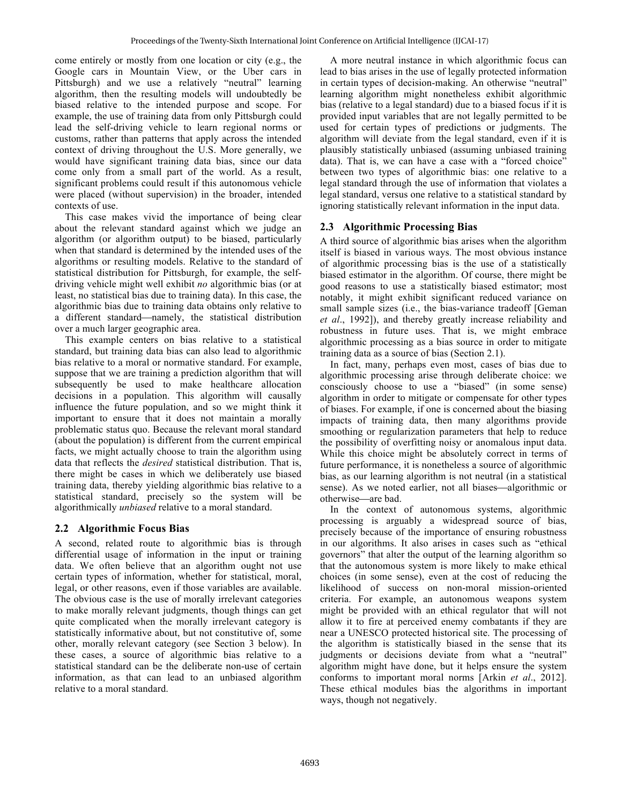come entirely or mostly from one location or city (e.g., the Google cars in Mountain View, or the Uber cars in Pittsburgh) and we use a relatively "neutral" learning algorithm, then the resulting models will undoubtedly be biased relative to the intended purpose and scope. For example, the use of training data from only Pittsburgh could lead the self-driving vehicle to learn regional norms or customs, rather than patterns that apply across the intended context of driving throughout the U.S. More generally, we would have significant training data bias, since our data come only from a small part of the world. As a result, significant problems could result if this autonomous vehicle were placed (without supervision) in the broader, intended contexts of use.

This case makes vivid the importance of being clear about the relevant standard against which we judge an algorithm (or algorithm output) to be biased, particularly when that standard is determined by the intended uses of the algorithms or resulting models. Relative to the standard of statistical distribution for Pittsburgh, for example, the selfdriving vehicle might well exhibit *no* algorithmic bias (or at least, no statistical bias due to training data). In this case, the algorithmic bias due to training data obtains only relative to a different standard—namely, the statistical distribution over a much larger geographic area.

This example centers on bias relative to a statistical standard, but training data bias can also lead to algorithmic bias relative to a moral or normative standard. For example, suppose that we are training a prediction algorithm that will subsequently be used to make healthcare allocation decisions in a population. This algorithm will causally influence the future population, and so we might think it important to ensure that it does not maintain a morally problematic status quo. Because the relevant moral standard (about the population) is different from the current empirical facts, we might actually choose to train the algorithm using data that reflects the *desired* statistical distribution. That is, there might be cases in which we deliberately use biased training data, thereby yielding algorithmic bias relative to a statistical standard, precisely so the system will be algorithmically *unbiased* relative to a moral standard.

### **2.2 Algorithmic Focus Bias**

A second, related route to algorithmic bias is through differential usage of information in the input or training data. We often believe that an algorithm ought not use certain types of information, whether for statistical, moral, legal, or other reasons, even if those variables are available. The obvious case is the use of morally irrelevant categories to make morally relevant judgments, though things can get quite complicated when the morally irrelevant category is statistically informative about, but not constitutive of, some other, morally relevant category (see Section 3 below). In these cases, a source of algorithmic bias relative to a statistical standard can be the deliberate non-use of certain information, as that can lead to an unbiased algorithm relative to a moral standard.

A more neutral instance in which algorithmic focus can lead to bias arises in the use of legally protected information in certain types of decision-making. An otherwise "neutral" learning algorithm might nonetheless exhibit algorithmic bias (relative to a legal standard) due to a biased focus if it is provided input variables that are not legally permitted to be used for certain types of predictions or judgments. The algorithm will deviate from the legal standard, even if it is plausibly statistically unbiased (assuming unbiased training data). That is, we can have a case with a "forced choice" between two types of algorithmic bias: one relative to a legal standard through the use of information that violates a legal standard, versus one relative to a statistical standard by ignoring statistically relevant information in the input data.

### **2.3 Algorithmic Processing Bias**

A third source of algorithmic bias arises when the algorithm itself is biased in various ways. The most obvious instance of algorithmic processing bias is the use of a statistically biased estimator in the algorithm. Of course, there might be good reasons to use a statistically biased estimator; most notably, it might exhibit significant reduced variance on small sample sizes (i.e., the bias-variance tradeoff [Geman] *et al*., 1992]), and thereby greatly increase reliability and robustness in future uses. That is, we might embrace algorithmic processing as a bias source in order to mitigate training data as a source of bias (Section 2.1).

In fact, many, perhaps even most, cases of bias due to algorithmic processing arise through deliberate choice: we consciously choose to use a "biased" (in some sense) algorithm in order to mitigate or compensate for other types of biases. For example, if one is concerned about the biasing impacts of training data, then many algorithms provide smoothing or regularization parameters that help to reduce the possibility of overfitting noisy or anomalous input data. While this choice might be absolutely correct in terms of future performance, it is nonetheless a source of algorithmic bias, as our learning algorithm is not neutral (in a statistical sense). As we noted earlier, not all biases—algorithmic or otherwise—are bad.

In the context of autonomous systems, algorithmic processing is arguably a widespread source of bias, precisely because of the importance of ensuring robustness in our algorithms. It also arises in cases such as "ethical governors" that alter the output of the learning algorithm so that the autonomous system is more likely to make ethical choices (in some sense), even at the cost of reducing the likelihood of success on non-moral mission-oriented criteria. For example, an autonomous weapons system might be provided with an ethical regulator that will not allow it to fire at perceived enemy combatants if they are near a UNESCO protected historical site. The processing of the algorithm is statistically biased in the sense that its judgments or decisions deviate from what a "neutral" algorithm might have done, but it helps ensure the system conforms to important moral norms [Arkin *et al*., 2012]. These ethical modules bias the algorithms in important ways, though not negatively.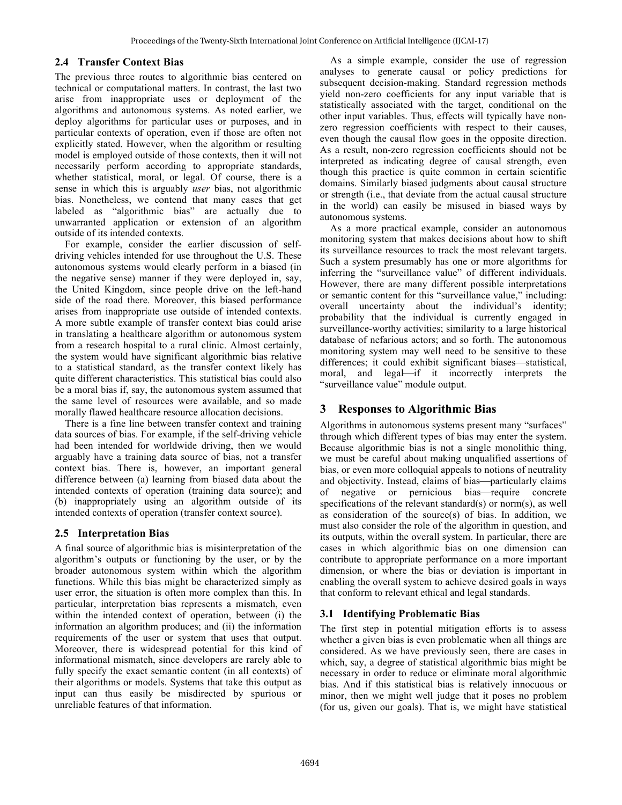#### **2.4 Transfer Context Bias**

The previous three routes to algorithmic bias centered on technical or computational matters. In contrast, the last two arise from inappropriate uses or deployment of the algorithms and autonomous systems. As noted earlier, we deploy algorithms for particular uses or purposes, and in particular contexts of operation, even if those are often not explicitly stated. However, when the algorithm or resulting model is employed outside of those contexts, then it will not necessarily perform according to appropriate standards, whether statistical, moral, or legal. Of course, there is a sense in which this is arguably *user* bias, not algorithmic bias. Nonetheless, we contend that many cases that get labeled as "algorithmic bias" are actually due to unwarranted application or extension of an algorithm outside of its intended contexts.

For example, consider the earlier discussion of selfdriving vehicles intended for use throughout the U.S. These autonomous systems would clearly perform in a biased (in the negative sense) manner if they were deployed in, say, the United Kingdom, since people drive on the left-hand side of the road there. Moreover, this biased performance arises from inappropriate use outside of intended contexts. A more subtle example of transfer context bias could arise in translating a healthcare algorithm or autonomous system from a research hospital to a rural clinic. Almost certainly, the system would have significant algorithmic bias relative to a statistical standard, as the transfer context likely has quite different characteristics. This statistical bias could also be a moral bias if, say, the autonomous system assumed that the same level of resources were available, and so made morally flawed healthcare resource allocation decisions.

There is a fine line between transfer context and training data sources of bias. For example, if the self-driving vehicle had been intended for worldwide driving, then we would arguably have a training data source of bias, not a transfer context bias. There is, however, an important general difference between (a) learning from biased data about the intended contexts of operation (training data source); and (b) inappropriately using an algorithm outside of its intended contexts of operation (transfer context source).

### **2.5 Interpretation Bias**

A final source of algorithmic bias is misinterpretation of the algorithm's outputs or functioning by the user, or by the broader autonomous system within which the algorithm functions. While this bias might be characterized simply as user error, the situation is often more complex than this. In particular, interpretation bias represents a mismatch, even within the intended context of operation, between (i) the information an algorithm produces; and (ii) the information requirements of the user or system that uses that output. Moreover, there is widespread potential for this kind of informational mismatch, since developers are rarely able to fully specify the exact semantic content (in all contexts) of their algorithms or models. Systems that take this output as input can thus easily be misdirected by spurious or unreliable features of that information.

As a simple example, consider the use of regression analyses to generate causal or policy predictions for subsequent decision-making. Standard regression methods yield non-zero coefficients for any input variable that is statistically associated with the target, conditional on the other input variables. Thus, effects will typically have nonzero regression coefficients with respect to their causes, even though the causal flow goes in the opposite direction. As a result, non-zero regression coefficients should not be interpreted as indicating degree of causal strength, even though this practice is quite common in certain scientific domains. Similarly biased judgments about causal structure or strength (i.e., that deviate from the actual causal structure in the world) can easily be misused in biased ways by autonomous systems.

As a more practical example, consider an autonomous monitoring system that makes decisions about how to shift its surveillance resources to track the most relevant targets. Such a system presumably has one or more algorithms for inferring the "surveillance value" of different individuals. However, there are many different possible interpretations or semantic content for this "surveillance value," including: overall uncertainty about the individual's identity; probability that the individual is currently engaged in surveillance-worthy activities; similarity to a large historical database of nefarious actors; and so forth. The autonomous monitoring system may well need to be sensitive to these differences; it could exhibit significant biases—statistical, moral, and legal—if it incorrectly interprets the "surveillance value" module output.

### **3 Responses to Algorithmic Bias**

Algorithms in autonomous systems present many "surfaces" through which different types of bias may enter the system. Because algorithmic bias is not a single monolithic thing, we must be careful about making unqualified assertions of bias, or even more colloquial appeals to notions of neutrality and objectivity. Instead, claims of bias—particularly claims of negative or pernicious bias—require concrete specifications of the relevant standard(s) or norm(s), as well as consideration of the source(s) of bias. In addition, we must also consider the role of the algorithm in question, and its outputs, within the overall system. In particular, there are cases in which algorithmic bias on one dimension can contribute to appropriate performance on a more important dimension, or where the bias or deviation is important in enabling the overall system to achieve desired goals in ways that conform to relevant ethical and legal standards.

### **3.1 Identifying Problematic Bias**

The first step in potential mitigation efforts is to assess whether a given bias is even problematic when all things are considered. As we have previously seen, there are cases in which, say, a degree of statistical algorithmic bias might be necessary in order to reduce or eliminate moral algorithmic bias. And if this statistical bias is relatively innocuous or minor, then we might well judge that it poses no problem (for us, given our goals). That is, we might have statistical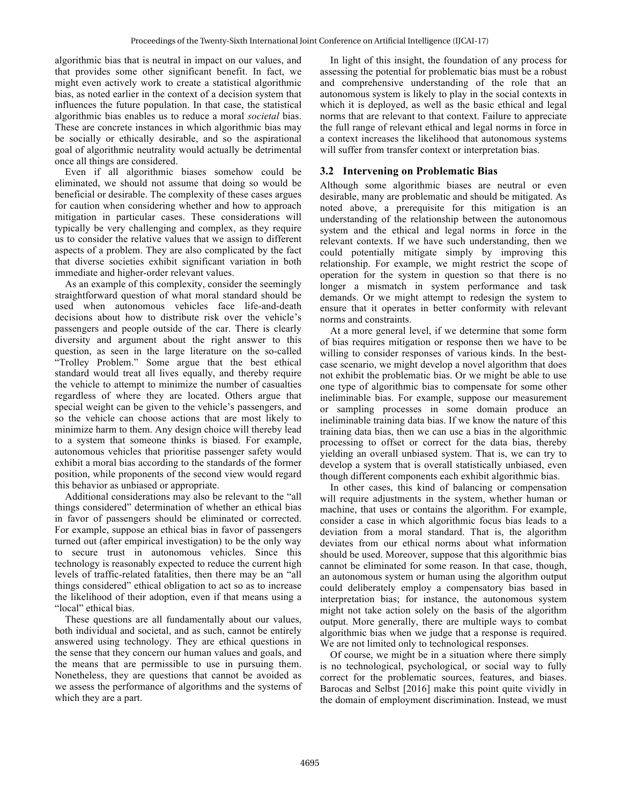algorithmic bias that is neutral in impact on our values, and that provides some other significant benefit. In fact, we might even actively work to create a statistical algorithmic bias, as noted earlier in the context of a decision system that influences the future population. In that case, the statistical algorithmic bias enables us to reduce a moral *societal* bias. These are concrete instances in which algorithmic bias may be socially or ethically desirable, and so the aspirational goal of algorithmic neutrality would actually be detrimental once all things are considered.

Even if all algorithmic biases somehow could be eliminated, we should not assume that doing so would be beneficial or desirable. The complexity of these cases argues for caution when considering whether and how to approach mitigation in particular cases. These considerations will typically be very challenging and complex, as they require us to consider the relative values that we assign to different aspects of a problem. They are also complicated by the fact that diverse societies exhibit significant variation in both immediate and higher-order relevant values.

As an example of this complexity, consider the seemingly straightforward question of what moral standard should be used when autonomous vehicles face life-and-death decisions about how to distribute risk over the vehicle's passengers and people outside of the car. There is clearly diversity and argument about the right answer to this question, as seen in the large literature on the so-called "Trolley Problem." Some argue that the best ethical standard would treat all lives equally, and thereby require the vehicle to attempt to minimize the number of casualties regardless of where they are located. Others argue that special weight can be given to the vehicle's passengers, and so the vehicle can choose actions that are most likely to minimize harm to them. Any design choice will thereby lead to a system that someone thinks is biased. For example, autonomous vehicles that prioritise passenger safety would exhibit a moral bias according to the standards of the former position, while proponents of the second view would regard this behavior as unbiased or appropriate.

Additional considerations may also be relevant to the "all things considered" determination of whether an ethical bias in favor of passengers should be eliminated or corrected. For example, suppose an ethical bias in favor of passengers turned out (after empirical investigation) to be the only way to secure trust in autonomous vehicles. Since this technology is reasonably expected to reduce the current high levels of traffic-related fatalities, then there may be an "all things considered" ethical obligation to act so as to increase the likelihood of their adoption, even if that means using a "local" ethical bias.

These questions are all fundamentally about our values, both individual and societal, and as such, cannot be entirely answered using technology. They are ethical questions in the sense that they concern our human values and goals, and the means that are permissible to use in pursuing them. Nonetheless, they are questions that cannot be avoided as we assess the performance of algorithms and the systems of which they are a part.

In light of this insight, the foundation of any process for assessing the potential for problematic bias must be a robust and comprehensive understanding of the role that an autonomous system is likely to play in the social contexts in which it is deployed, as well as the basic ethical and legal norms that are relevant to that context. Failure to appreciate the full range of relevant ethical and legal norms in force in a context increases the likelihood that autonomous systems will suffer from transfer context or interpretation bias.

### **3.2 Intervening on Problematic Bias**

Although some algorithmic biases are neutral or even desirable, many are problematic and should be mitigated. As noted above, a prerequisite for this mitigation is an understanding of the relationship between the autonomous system and the ethical and legal norms in force in the relevant contexts. If we have such understanding, then we could potentially mitigate simply by improving this relationship. For example, we might restrict the scope of operation for the system in question so that there is no longer a mismatch in system performance and task demands. Or we might attempt to redesign the system to ensure that it operates in better conformity with relevant norms and constraints.

At a more general level, if we determine that some form of bias requires mitigation or response then we have to be willing to consider responses of various kinds. In the bestcase scenario, we might develop a novel algorithm that does not exhibit the problematic bias. Or we might be able to use one type of algorithmic bias to compensate for some other ineliminable bias. For example, suppose our measurement or sampling processes in some domain produce an ineliminable training data bias. If we know the nature of this training data bias, then we can use a bias in the algorithmic processing to offset or correct for the data bias, thereby yielding an overall unbiased system. That is, we can try to develop a system that is overall statistically unbiased, even though different components each exhibit algorithmic bias.

In other cases, this kind of balancing or compensation will require adjustments in the system, whether human or machine, that uses or contains the algorithm. For example, consider a case in which algorithmic focus bias leads to a deviation from a moral standard. That is, the algorithm deviates from our ethical norms about what information should be used. Moreover, suppose that this algorithmic bias cannot be eliminated for some reason. In that case, though, an autonomous system or human using the algorithm output could deliberately employ a compensatory bias based in interpretation bias; for instance, the autonomous system might not take action solely on the basis of the algorithm output. More generally, there are multiple ways to combat algorithmic bias when we judge that a response is required. We are not limited only to technological responses.

Of course, we might be in a situation where there simply is no technological, psychological, or social way to fully correct for the problematic sources, features, and biases. Barocas and Selbst [2016] make this point quite vividly in the domain of employment discrimination. Instead, we must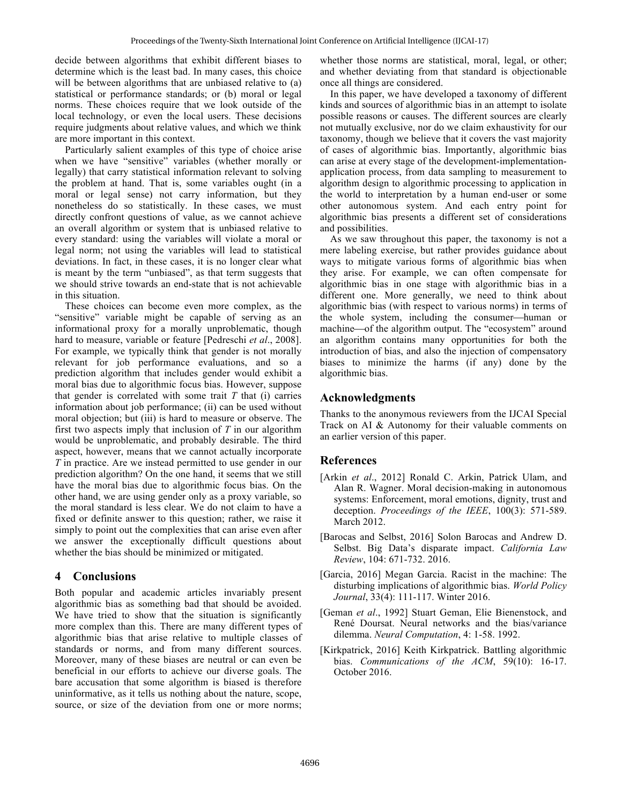decide between algorithms that exhibit different biases to determine which is the least bad. In many cases, this choice will be between algorithms that are unbiased relative to (a) statistical or performance standards; or (b) moral or legal norms. These choices require that we look outside of the local technology, or even the local users. These decisions require judgments about relative values, and which we think are more important in this context.

Particularly salient examples of this type of choice arise when we have "sensitive" variables (whether morally or legally) that carry statistical information relevant to solving the problem at hand. That is, some variables ought (in a moral or legal sense) not carry information, but they nonetheless do so statistically. In these cases, we must directly confront questions of value, as we cannot achieve an overall algorithm or system that is unbiased relative to every standard: using the variables will violate a moral or legal norm; not using the variables will lead to statistical deviations. In fact, in these cases, it is no longer clear what is meant by the term "unbiased", as that term suggests that we should strive towards an end-state that is not achievable in this situation.

These choices can become even more complex, as the "sensitive" variable might be capable of serving as an informational proxy for a morally unproblematic, though hard to measure, variable or feature [Pedreschi *et al*., 2008]. For example, we typically think that gender is not morally relevant for job performance evaluations, and so a prediction algorithm that includes gender would exhibit a moral bias due to algorithmic focus bias. However, suppose that gender is correlated with some trait  $T$  that  $(i)$  carries information about job performance; (ii) can be used without moral objection; but (iii) is hard to measure or observe. The first two aspects imply that inclusion of *T* in our algorithm would be unproblematic, and probably desirable. The third aspect, however, means that we cannot actually incorporate *T* in practice. Are we instead permitted to use gender in our prediction algorithm? On the one hand, it seems that we still have the moral bias due to algorithmic focus bias. On the other hand, we are using gender only as a proxy variable, so the moral standard is less clear. We do not claim to have a fixed or definite answer to this question; rather, we raise it simply to point out the complexities that can arise even after we answer the exceptionally difficult questions about whether the bias should be minimized or mitigated.

### **4 Conclusions**

Both popular and academic articles invariably present algorithmic bias as something bad that should be avoided. We have tried to show that the situation is significantly more complex than this. There are many different types of algorithmic bias that arise relative to multiple classes of standards or norms, and from many different sources. Moreover, many of these biases are neutral or can even be beneficial in our efforts to achieve our diverse goals. The bare accusation that some algorithm is biased is therefore uninformative, as it tells us nothing about the nature, scope, source, or size of the deviation from one or more norms;

whether those norms are statistical, moral, legal, or other; and whether deviating from that standard is objectionable once all things are considered.

In this paper, we have developed a taxonomy of different kinds and sources of algorithmic bias in an attempt to isolate possible reasons or causes. The different sources are clearly not mutually exclusive, nor do we claim exhaustivity for our taxonomy, though we believe that it covers the vast majority of cases of algorithmic bias. Importantly, algorithmic bias can arise at every stage of the development-implementationapplication process, from data sampling to measurement to algorithm design to algorithmic processing to application in the world to interpretation by a human end-user or some other autonomous system. And each entry point for algorithmic bias presents a different set of considerations and possibilities.

 As we saw throughout this paper, the taxonomy is not a mere labeling exercise, but rather provides guidance about ways to mitigate various forms of algorithmic bias when they arise. For example, we can often compensate for algorithmic bias in one stage with algorithmic bias in a different one. More generally, we need to think about algorithmic bias (with respect to various norms) in terms of the whole system, including the consumer—human or machine—of the algorithm output. The "ecosystem" around an algorithm contains many opportunities for both the introduction of bias, and also the injection of compensatory biases to minimize the harms (if any) done by the algorithmic bias.

## **Acknowledgments**

Thanks to the anonymous reviewers from the IJCAI Special Track on AI & Autonomy for their valuable comments on an earlier version of this paper.

### **References**

- [Arkin *et al*., 2012] Ronald C. Arkin, Patrick Ulam, and Alan R. Wagner. Moral decision-making in autonomous systems: Enforcement, moral emotions, dignity, trust and deception. *Proceedings of the IEEE*, 100(3): 571-589. March 2012.
- [Barocas and Selbst, 2016] Solon Barocas and Andrew D. Selbst. Big Data's disparate impact. *California Law Review*, 104: 671-732. 2016.
- [Garcia, 2016] Megan Garcia. Racist in the machine: The disturbing implications of algorithmic bias. *World Policy Journal*, 33(4): 111-117. Winter 2016.
- [Geman *et al*., 1992] Stuart Geman, Elie Bienenstock, and René Doursat. Neural networks and the bias/variance dilemma. *Neural Computation*, 4: 1-58. 1992.
- [Kirkpatrick, 2016] Keith Kirkpatrick. Battling algorithmic bias. *Communications of the ACM*, 59(10): 16-17. October 2016.